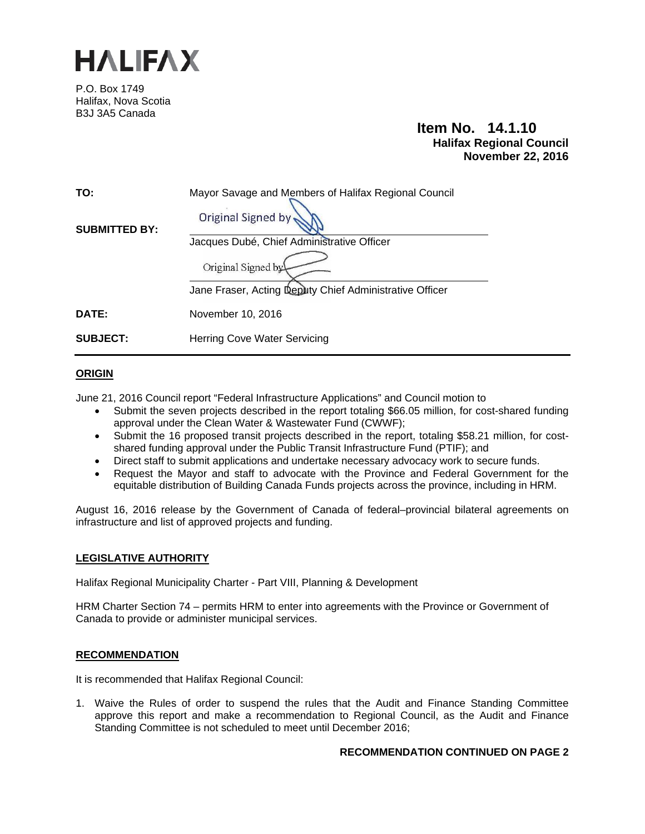

P.O. Box 1749 Halifax, Nova Scotia B3J 3A5 Canada

# **Item No. 14.1.10 Halifax Regional Council November 22, 2016**

| TO:                  | Mayor Savage and Members of Halifax Regional Council    |
|----------------------|---------------------------------------------------------|
| <b>SUBMITTED BY:</b> | Original Signed by                                      |
|                      | Jacques Dubé, Chief Administrative Officer              |
|                      | Original Signed by                                      |
|                      | Jane Fraser, Acting Deputy Chief Administrative Officer |
| <b>DATE:</b>         | November 10, 2016                                       |
| <b>SUBJECT:</b>      | Herring Cove Water Servicing                            |

## **ORIGIN**

June 21, 2016 Council report "Federal Infrastructure Applications" and Council motion to

- Submit the seven projects described in the report totaling \$66.05 million, for cost-shared funding approval under the Clean Water & Wastewater Fund (CWWF);
- Submit the 16 proposed transit projects described in the report, totaling \$58.21 million, for costshared funding approval under the Public Transit Infrastructure Fund (PTIF); and
- Direct staff to submit applications and undertake necessary advocacy work to secure funds.
- Request the Mayor and staff to advocate with the Province and Federal Government for the equitable distribution of Building Canada Funds projects across the province, including in HRM.

August 16, 2016 release by the Government of Canada of federal–provincial bilateral agreements on infrastructure and list of approved projects and funding.

### **LEGISLATIVE AUTHORITY**

Halifax Regional Municipality Charter - Part VIII, Planning & Development

HRM Charter Section 74 – permits HRM to enter into agreements with the Province or Government of Canada to provide or administer municipal services.

### **RECOMMENDATION**

It is recommended that Halifax Regional Council:

1. Waive the Rules of order to suspend the rules that the Audit and Finance Standing Committee approve this report and make a recommendation to Regional Council, as the Audit and Finance Standing Committee is not scheduled to meet until December 2016;

### **RECOMMENDATION CONTINUED ON PAGE 2**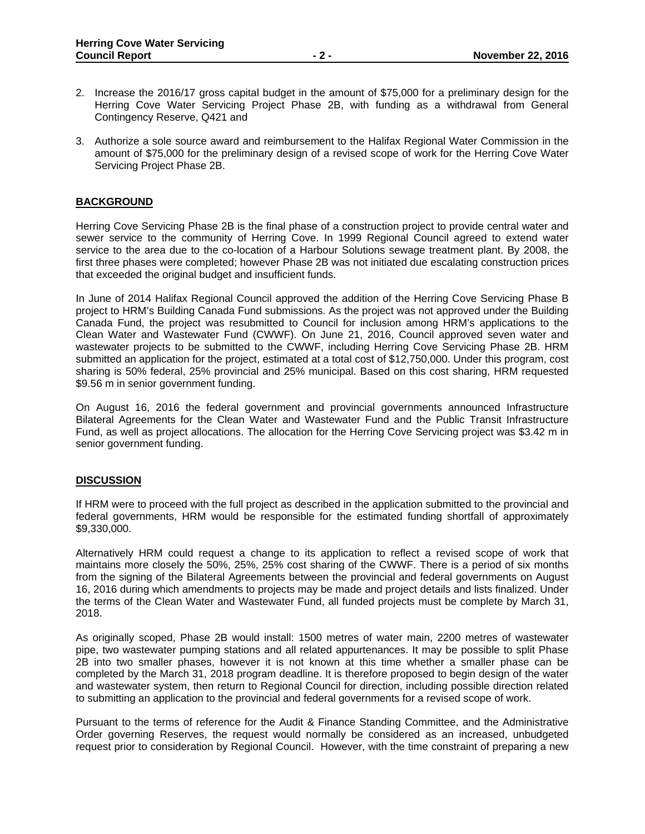- 2. Increase the 2016/17 gross capital budget in the amount of \$75,000 for a preliminary design for the Herring Cove Water Servicing Project Phase 2B, with funding as a withdrawal from General Contingency Reserve, Q421 and
- 3. Authorize a sole source award and reimbursement to the Halifax Regional Water Commission in the amount of \$75,000 for the preliminary design of a revised scope of work for the Herring Cove Water Servicing Project Phase 2B.

### **BACKGROUND**

Herring Cove Servicing Phase 2B is the final phase of a construction project to provide central water and sewer service to the community of Herring Cove. In 1999 Regional Council agreed to extend water service to the area due to the co-location of a Harbour Solutions sewage treatment plant. By 2008, the first three phases were completed; however Phase 2B was not initiated due escalating construction prices that exceeded the original budget and insufficient funds.

In June of 2014 Halifax Regional Council approved the addition of the Herring Cove Servicing Phase B project to HRM's Building Canada Fund submissions. As the project was not approved under the Building Canada Fund, the project was resubmitted to Council for inclusion among HRM's applications to the Clean Water and Wastewater Fund (CWWF). On June 21, 2016, Council approved seven water and wastewater projects to be submitted to the CWWF, including Herring Cove Servicing Phase 2B. HRM submitted an application for the project, estimated at a total cost of \$12,750,000. Under this program, cost sharing is 50% federal, 25% provincial and 25% municipal. Based on this cost sharing, HRM requested \$9.56 m in senior government funding.

On August 16, 2016 the federal government and provincial governments announced Infrastructure Bilateral Agreements for the Clean Water and Wastewater Fund and the Public Transit Infrastructure Fund, as well as project allocations. The allocation for the Herring Cove Servicing project was \$3.42 m in senior government funding.

### **DISCUSSION**

If HRM were to proceed with the full project as described in the application submitted to the provincial and federal governments, HRM would be responsible for the estimated funding shortfall of approximately \$9,330,000.

Alternatively HRM could request a change to its application to reflect a revised scope of work that maintains more closely the 50%, 25%, 25% cost sharing of the CWWF. There is a period of six months from the signing of the Bilateral Agreements between the provincial and federal governments on August 16, 2016 during which amendments to projects may be made and project details and lists finalized. Under the terms of the Clean Water and Wastewater Fund, all funded projects must be complete by March 31, 2018.

As originally scoped, Phase 2B would install: 1500 metres of water main, 2200 metres of wastewater pipe, two wastewater pumping stations and all related appurtenances. It may be possible to split Phase 2B into two smaller phases, however it is not known at this time whether a smaller phase can be completed by the March 31, 2018 program deadline. It is therefore proposed to begin design of the water and wastewater system, then return to Regional Council for direction, including possible direction related to submitting an application to the provincial and federal governments for a revised scope of work.

Pursuant to the terms of reference for the Audit & Finance Standing Committee, and the Administrative Order governing Reserves, the request would normally be considered as an increased, unbudgeted request prior to consideration by Regional Council. However, with the time constraint of preparing a new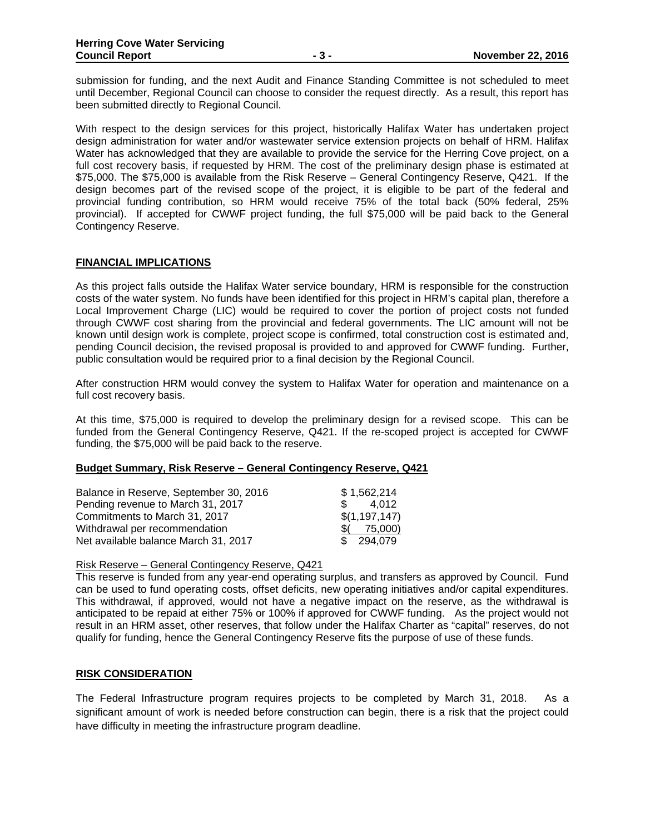submission for funding, and the next Audit and Finance Standing Committee is not scheduled to meet until December, Regional Council can choose to consider the request directly. As a result, this report has been submitted directly to Regional Council.

With respect to the design services for this project, historically Halifax Water has undertaken project design administration for water and/or wastewater service extension projects on behalf of HRM. Halifax Water has acknowledged that they are available to provide the service for the Herring Cove project, on a full cost recovery basis, if requested by HRM. The cost of the preliminary design phase is estimated at \$75,000. The \$75,000 is available from the Risk Reserve – General Contingency Reserve, Q421. If the design becomes part of the revised scope of the project, it is eligible to be part of the federal and provincial funding contribution, so HRM would receive 75% of the total back (50% federal, 25% provincial). If accepted for CWWF project funding, the full \$75,000 will be paid back to the General Contingency Reserve.

### **FINANCIAL IMPLICATIONS**

As this project falls outside the Halifax Water service boundary, HRM is responsible for the construction costs of the water system. No funds have been identified for this project in HRM's capital plan, therefore a Local Improvement Charge (LIC) would be required to cover the portion of project costs not funded through CWWF cost sharing from the provincial and federal governments. The LIC amount will not be known until design work is complete, project scope is confirmed, total construction cost is estimated and, pending Council decision, the revised proposal is provided to and approved for CWWF funding. Further, public consultation would be required prior to a final decision by the Regional Council.

After construction HRM would convey the system to Halifax Water for operation and maintenance on a full cost recovery basis.

At this time, \$75,000 is required to develop the preliminary design for a revised scope. This can be funded from the General Contingency Reserve, Q421. If the re-scoped project is accepted for CWWF funding, the \$75,000 will be paid back to the reserve.

## **Budget Summary, Risk Reserve – General Contingency Reserve, Q421**

| Balance in Reserve, September 30, 2016 | \$1.562.214            |
|----------------------------------------|------------------------|
| Pending revenue to March 31, 2017      | 4.012<br>$\mathcal{S}$ |
| Commitments to March 31, 2017          | \$(1,197,147)          |
| Withdrawal per recommendation          | 75,000)                |
| Net available balance March 31, 2017   | \$ 294,079             |

### Risk Reserve – General Contingency Reserve, Q421

This reserve is funded from any year-end operating surplus, and transfers as approved by Council. Fund can be used to fund operating costs, offset deficits, new operating initiatives and/or capital expenditures. This withdrawal, if approved, would not have a negative impact on the reserve, as the withdrawal is anticipated to be repaid at either 75% or 100% if approved for CWWF funding. As the project would not result in an HRM asset, other reserves, that follow under the Halifax Charter as "capital" reserves, do not qualify for funding, hence the General Contingency Reserve fits the purpose of use of these funds.

### **RISK CONSIDERATION**

The Federal Infrastructure program requires projects to be completed by March 31, 2018. As a significant amount of work is needed before construction can begin, there is a risk that the project could have difficulty in meeting the infrastructure program deadline.